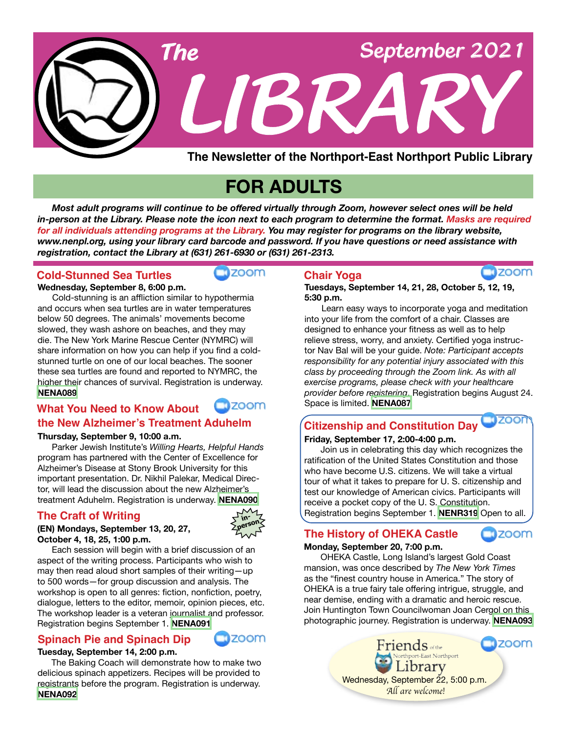

## **FOR ADULTS**

 *Most adult programs will continue to be offered virtually through Zoom, however select ones will be held in-person at the Library. Please note the icon next to each program to determine the format. Masks are required for all individuals attending programs at the Library. You may register for programs on the library website, www.nenpl.org, using your library card barcode and password. If you have questions or need assistance with registration, contact the Library at (631) 261-6930 or (631) 261-2313.*

#### **Wednesday, September 8, 6:00 p.m. Cold-Stunned Sea Turtles**

Cold-stunning is an affliction similar to hypothermia and occurs when sea turtles are in water temperatures below 50 degrees. The animals' movements become slowed, they wash ashore on beaches, and they may die. The New York Marine Rescue Center (NYMRC) will share information on how you can help if you find a coldstunned turtle on one of our local beaches. The sooner these sea turtles are found and reported to NYMRC, the higher their chances of survival. Registration is underway. **[NENA089](https://search.livebrary.com/record=g1106589~S43)**

## $m$ zoom

zoom

#### **What You Need to Know About the New Alzheimer's Treatment Aduhelm**

#### **Thursday, September 9, 10:00 a.m.**

Parker Jewish Institute's *Willing Hearts, Helpful Hands* program has partnered with the Center of Excellence for Alzheimer's Disease at Stony Brook University for this important presentation. Dr. Nikhil Palekar, Medical Director, will lead the discussion about the new Alzheimer's treatment Aduhelm. Registration is underway. **[NENA090](https://search.livebrary.com/record=g1106590~S43)**

#### **The Craft of Writing**



**(EN) Mondays, September 13, 20, 27, October 4, 18, 25, 1:00 p.m.**

 Each session will begin with a brief discussion of an aspect of the writing process. Participants who wish to may then read aloud short samples of their writing—up to 500 words—for group discussion and analysis. The workshop is open to all genres: fiction, nonfiction, poetry, dialogue, letters to the editor, memoir, opinion pieces, etc. The workshop leader is a veteran journalist and professor. Registration begins September 1. **[NENA091](https://search.livebrary.com/record=g1106591~S43)**

#### **Spinach Pie and Spinach Dip**



#### **Tuesday, September 14, 2:00 p.m.**

The Baking Coach will demonstrate how to make two delicious spinach appetizers. Recipes will be provided to registrants before the program. Registration is underway. **[NENA092](https://search.livebrary.com/record=g1106592~S43)**

#### **Chair Yoga**

**Tuesdays, September 14, 21, 28, October 5, 12, 19, 5:30 p.m.**

Learn easy ways to incorporate yoga and meditation into your life from the comfort of a chair. Classes are designed to enhance your fitness as well as to help relieve stress, worry, and anxiety. Certified yoga instructor Nav Bal will be your guide. *Note: Participant accepts responsibility for any potential injury associated with this class by proceeding through the Zoom link. As with all exercise programs, please check with your healthcare provider before registering*. Registration begins August 24. Space is limited. **[NENA087](https://search.livebrary.com/record=g1106009~S43)**

**Tizoon Citizenship and Constitution Day**

#### **Friday, September 17, 2:00-4:00 p.m.**

Join us in celebrating this day which recognizes the ratification of the United States Constitution and those who have become U.S. citizens. We will take a virtual tour of what it takes to prepare for U. S. citizenship and test our knowledge of American civics. Participants will receive a pocket copy of the U. S. Constitution. Registration begins September 1. **[NENR319](https://search.livebrary.com/record=g1106670~S43)** Open to all.

#### **The History of OHEKA Castle**



#### **Monday, September 20, 7:00 p.m.**

OHEKA Castle, Long Island's largest Gold Coast mansion, was once described by *The New York Times* as the "finest country house in America." The story of OHEKA is a true fairy tale offering intrigue, struggle, and near demise, ending with a dramatic and heroic rescue. Join Huntington Town Councilwoman Joan Cergol on this photographic journey. Registration is underway. **[NENA093](https://search.livebrary.com/record=g1106597~S43)**



**zoom**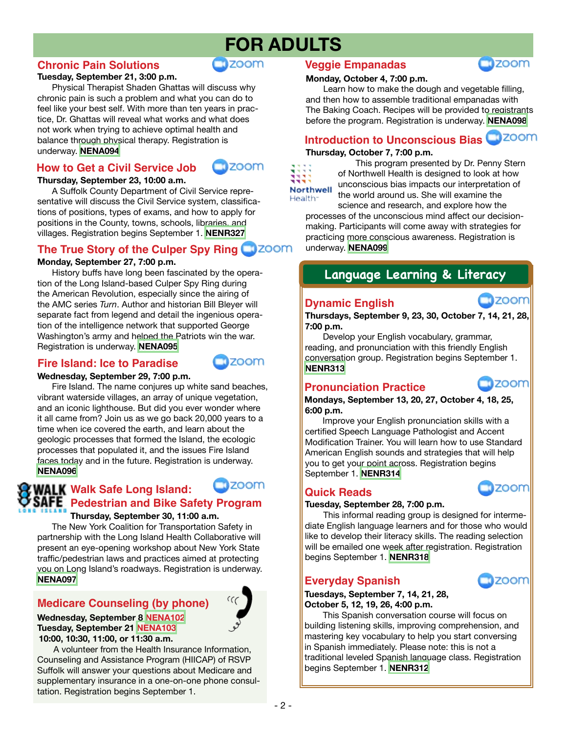## **FOR ADULTS**

#### **Chronic Pain Solutions**

#### **Tuesday, September 21, 3:00 p.m.**

Physical Therapist Shaden Ghattas will discuss why chronic pain is such a problem and what you can do to feel like your best self. With more than ten years in practice, Dr. Ghattas will reveal what works and what does not work when trying to achieve optimal health and balance through physical therapy. Registration is underway. **[NENA094](https://search.livebrary.com/record=g1106600~S43)**

#### **How to Get a Civil Service Job**



zoom

**nzoom** 

**Thursday, September 23, 10:00 a.m.**

A Suffolk County Department of Civil Service representative will discuss the Civil Service system, classifications of positions, types of exams, and how to apply for positions in the County, towns, schools, libraries, and villages. Registration begins September 1. **[NENR327](https://search.livebrary.com/record=g1089552~S43)**

#### **The True Story of the Culper Spy Ring**

#### **Monday, September 27, 7:00 p.m.**

History buffs have long been fascinated by the operation of the Long Island-based Culper Spy Ring during the American Revolution, especially since the airing of the AMC series *Turn*. Author and historian Bill Bleyer will separate fact from legend and detail the ingenious operation of the intelligence network that supported George Washington's army and helped the Patriots win the war. Registration is underway. **[NENA095](https://search.livebrary.com/record=g1106602~S43)**

#### **Fire Island: Ice to Paradise**

#### **Wednesday, September 29, 7:00 p.m.**

Fire Island. The name conjures up white sand beaches, vibrant waterside villages, an array of unique vegetation, and an iconic lighthouse. But did you ever wonder where it all came from? Join us as we go back 20,000 years to a time when ice covered the earth, and learn about the geologic processes that formed the Island, the ecologic processes that populated it, and the issues Fire Island faces today and in the future. Registration is underway. **[NENA096](https://search.livebrary.com/record=g1106603~S43)**

#### zoom **Walk Safe Long Island: SAFE** Pedestrian and Bike Safety Program **Thursday, September 30, 11:00 a.m.**

The New York Coalition for Transportation Safety in partnership with the Long Island Health Collaborative will present an eye-opening workshop about New York State traffic/pedestrian laws and practices aimed at protecting you on Long Island's roadways. Registration is underway. **[NENA097](https://search.livebrary.com/record=g1106604~S43)**

#### **Medicare Counseling (by phone)**

**Wednesday, September 8 [NENA102](https://search.livebrary.com/record=g1106715~S43) Tuesday, September 21 [NENA103](https://search.livebrary.com/record=g1106716~S43) 10:00, 10:30, 11:00, or 11:30 a.m.**

 A volunteer from the Health Insurance Information, Counseling and Assistance Program (HIICAP) of RSVP Suffolk will answer your questions about Medicare and supplementary insurance in a one-on-one phone consultation. Registration begins September 1.

#### **Veggie Empanadas**



Learn how to make the dough and vegetable filling, and then how to assemble traditional empanadas with The Baking Coach. Recipes will be provided to registrants before the program. Registration is underway. **[NENA098](https://search.livebrary.com/record=g1106610~S43)**

#### **Thursday, October 7, 7:00 p.m. Introduction to Unconscious Bias**



This program presented by Dr. Penny Stern of Northwell Health is designed to look at how unconscious bias impacts our interpretation of the world around us. She will examine the science and research, and explore how the

processes of the unconscious mind affect our decisionmaking. Participants will come away with strategies for practicing more conscious awareness. Registration is underway. **[NENA099](https://search.livebrary.com/record=g1106614~S43)**

#### **Language Learning & Literacy**

#### **Dynamic English**



**Thursdays, September 9, 23, 30, October 7, 14, 21, 28, 7:00 p.m.**

 Develop your English vocabulary, grammar, reading, and pronunciation with this friendly English conversation group. Registration begins September 1. **[NENR313](https://search.livebrary.com/record=g1099946~S43)**

#### **Pronunciation Practice**

zoom

zoom

 **Mondays, September 13, 20, 27, October 4, 18, 25, 6:00 p.m.** 

Improve your English pronunciation skills with a certified Speech Language Pathologist and Accent Modification Trainer. You will learn how to use Standard American English sounds and strategies that will help you to get your point across. Registration begins September 1. **[NENR314](https://search.livebrary.com/record=g1101911~S43)**

#### **Quick Reads**

#### **Tuesday, September 28, 7:00 p.m.**

 This informal reading group is designed for intermediate English language learners and for those who would like to develop their literacy skills. The reading selection will be emailed one week after registration. Registration begins September 1. **[NENR318](https://search.livebrary.com/record=g1089488~S43)**

## **Everyday Spanish**

**Tuesdays, September 7, 14, 21, 28, October 5, 12, 19, 26, 4:00 p.m.**

This Spanish conversation course will focus on building listening skills, improving comprehension, and mastering key vocabulary to help you start conversing in Spanish immediately. Please note: this is not a traditional leveled Spanish language class. Registration begins September 1. **[NENR312](https://search.livebrary.com/record=g1100907~S43)**





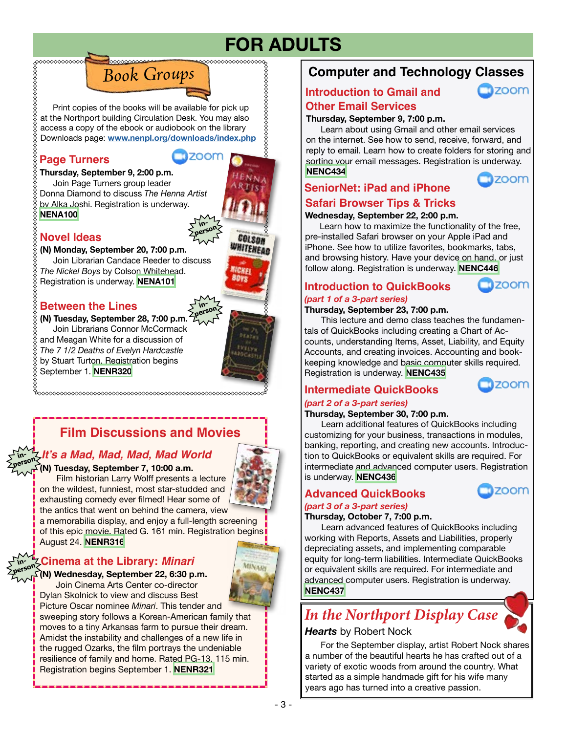# **FOR ADULTS**

Print copies of the books will be available for pick up<br>
at the Northport building Circulation Desk. You may also at the Northport building Circulation Desk. You may also access a copy of the ebook or audiobook on the library Downloads page: **[www.nenpl.org/downloads/index.php](http://www.nenpl.org/downloads/index.php)**

*Book Groups*

#### **Page Turners**

#### **Thursday, September 9, 2:00 p.m.**

 Join Page Turners group leader Donna Diamond to discuss *The Henna Artist* by Alka Joshi. Registration is underway. **[NENA100](https://search.livebrary.com/record=g1106594~S43)**

#### **Novel Ideas**

**(N) Monday, September 20, 7:00 p.m.** Join Librarian Candace Reeder to discuss *The Nickel Boys* by Colson Whitehead. Registration is underway. **[NENA101](https://search.livebrary.com/record=g1106595~S43)**

#### **Between the Lines**

September 1. **[NENR320](https://search.livebrary.com/record=g1103834~S43)**

**(N) Tuesday, September 28, 7:00 p.m.** Join Librarians Connor McCormack and Meagan White for a discussion of *The 7 1/2 Deaths of Evelyn Hardcastle* by Stuart Turton. Registration begins



**IGKE BOYS** 

**COLSON HITEHEAL** 

**inperson**

**TIZOOM** 

**in-**

## **Film Discussions and Movies**

#### **in- It's a Mad, Mad, Mad, Mad World person**

#### **(N) Tuesday, September 7, 10:00 a.m.**

 Film historian Larry Wolff presents a lecture on the wildest, funniest, most star-studded and exhausting comedy ever filmed! Hear some of

the antics that went on behind the camera, view a memorabilia display, and enjoy a full-length screening of this epic movie. Rated G. 161 min. Registration begins August 24. **[NENR316](https://search.livebrary.com/record=g1098404~S43)**

#### **Cinema at the Library: Minari person**

**in-**

**(N) Wednesday, September 22, 6:30 p.m.**

 Join Cinema Arts Center co-director Dylan Skolnick to view and discuss Best

Picture Oscar nominee *Minari*. This tender and sweeping story follows a Korean-American family that moves to a tiny Arkansas farm to pursue their dream. Amidst the instability and challenges of a new life in the rugged Ozarks, the film portrays the undeniable resilience of family and home. Rated PG-13. 115 min. Registration begins September 1. **[NENR321](https://search.livebrary.com/record=g1101842~S43)**

## **Computer and Technology Classes**

#### **Introduction to Gmail and**



#### **Thursday, September 9, 7:00 p.m. Other Email Services**

 Learn about using Gmail and other email services on the internet. See how to send, receive, forward, and reply to email. Learn how to create folders for storing and sorting your email messages. Registration is underway. **[NENC434](https://search.livebrary.com/record=g1104455~S43)**



#### **SeniorNet: iPad and iPhone Safari Browser Tips & Tricks**

#### **Wednesday, September 22, 2:00 p.m.**

 Learn how to maximize the functionality of the free, pre-installed Safari browser on your Apple iPad and iPhone. See how to utilize favorites, bookmarks, tabs, and browsing history. Have your device on hand, or just follow along. Registration is underway. **[NENC446](https://search.livebrary.com/record=g1106220~S43)**

#### **Introduction to QuickBooks**



zoom

#### *(part 1 of a 3-part series)*

#### **Thursday, September 23, 7:00 p.m.**

This lecture and demo class teaches the fundamentals of QuickBooks including creating a Chart of Accounts, understanding Items, Asset, Liability, and Equity Accounts, and creating invoices. Accounting and bookkeeping knowledge and basic computer skills required. Registration is underway. **[NENC435](https://search.livebrary.com/record=g1101336~S43)**

#### **Intermediate QuickBooks**

#### *(part 2 of a 3-part series)*

#### **Thursday, September 30, 7:00 p.m.**

Learn additional features of QuickBooks including customizing for your business, transactions in modules, banking, reporting, and creating new accounts. Introduction to QuickBooks or equivalent skills are required. For intermediate and advanced computer users. Registration is underway. **[NENC436](https://search.livebrary.com/record=g1084686~S43)**

#### **Advanced QuickBooks**



#### *(part 3 of a 3-part series)* **Thursday, October 7, 7:00 p.m.**

Learn advanced features of QuickBooks including working with Reports, Assets and Liabilities, properly depreciating assets, and implementing comparable equity for long-term liabilities. Intermediate QuickBooks or equivalent skills are required. For intermediate and advanced computer users. Registration is underway. **[NENC437](https://search.livebrary.com/record=g1093205~S43)**

## *In the Northport Display Case*

#### *Hearts* by Robert Nock

For the September display, artist Robert Nock shares a number of the beautiful hearts he has crafted out of a variety of exotic woods from around the country. What started as a simple handmade gift for his wife many years ago has turned into a creative passion.

**EINAD**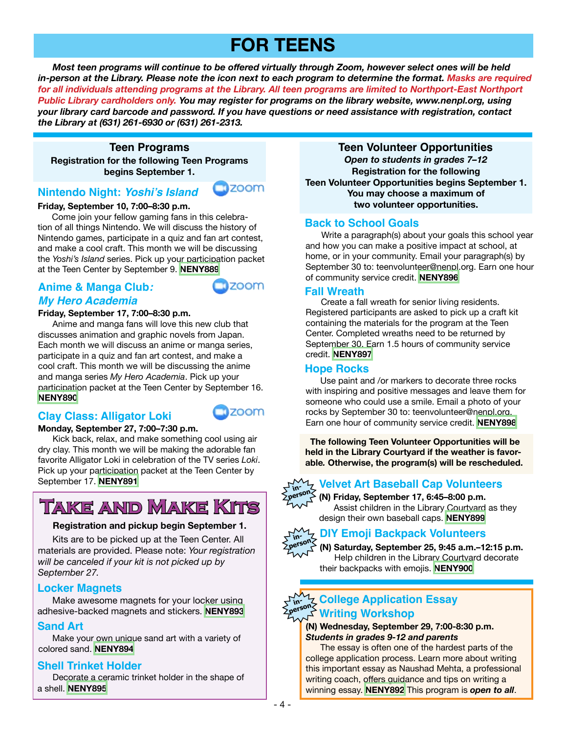## **FOR TEENS**

 *Most teen programs will continue to be offered virtually through Zoom, however select ones will be held in-person at the Library. Please note the icon next to each program to determine the format. Masks are required*  for all individuals attending programs at the Library. All teen programs are limited to Northport-East Northport *Public Library cardholders only. You may register for programs on the library website, www.nenpl.org, using your library card barcode and password. If you have questions or need assistance with registration, contact the Library at (631) 261-6930 or (631) 261-2313.*

**Teen Programs** 

**Registration for the following Teen Programs begins September 1.**

#### **Nintendo Night: Yoshi's Island**

#### **Friday, September 10, 7:00–8:30 p.m.**

 Come join your fellow gaming fans in this celebration of all things Nintendo. We will discuss the history of Nintendo games, participate in a quiz and fan art contest, and make a cool craft. This month we will be discussing the *Yoshi's Island* series. Pick up your participation packet at the Teen Center by September 9. **[NENY889](https://search.livebrary.com/record=g1106452~S43)**

#### **Anime & Manga Club: My Hero Academia**

## **ZOOM**

**zoom** 

#### **Friday, September 17, 7:00–8:30 p.m.**

 Anime and manga fans will love this new club that discusses animation and graphic novels from Japan. Each month we will discuss an anime or manga series, participate in a quiz and fan art contest, and make a cool craft. This month we will be discussing the anime and manga series *My Hero Academia*. Pick up your participation packet at the Teen Center by September 16. **[NENY890](https://search.livebrary.com/record=g1106454~S43)**

#### **Clay Class: Alligator Loki**



#### **Monday, September 27, 7:00–7:30 p.m.**

Kick back, relax, and make something cool using air dry clay. This month we will be making the adorable fan favorite Alligator Loki in celebration of the TV series *Loki*. Pick up your participation packet at the Teen Center by September 17. **[NENY891](https://search.livebrary.com/record=g1106790~S43)**

## **Take and Make Kits**

#### **Registration and pickup begin September 1.**

 Kits are to be picked up at the Teen Center. All materials are provided. Please note: *Your registration will be canceled if your kit is not picked up by September 27.*

#### **Locker Magnets**

 Make awesome magnets for your locker using adhesive-backed magnets and stickers. **[NENY893](https://search.livebrary.com/record=g1106791~S43)**

#### **Sand Art**

 Make your own unique sand art with a variety of colored sand. **[NENY894](https://search.livebrary.com/record=g1106793~S43)**

#### **Shell Trinket Holder**

 Decorate a ceramic trinket holder in the shape of a shell. **[NENY895](https://search.livebrary.com/record=g1106797~S43)**

**Teen Volunteer Opportunities Registration for the following Teen Volunteer Opportunities begins September 1. You may choose a maximum of two volunteer opportunities.** *Open to students in grades 7–12*

#### **Back to School Goals**

 Write a paragraph(s) about your goals this school year and how you can make a positive impact at school, at home, or in your community. Email your paragraph(s) by September 30 to: teenvolunteer@nenpl.org. Earn one hour of community service credit. **[NENY896](https://search.livebrary.com/record=g1106801~S43)**

#### **Fall Wreath**

 Create a fall wreath for senior living residents. Registered participants are asked to pick up a craft kit containing the materials for the program at the Teen Center. Completed wreaths need to be returned by September 30. Earn 1.5 hours of community service credit. **[NENY897](https://search.livebrary.com/record=g1106807~S43)**

#### **Hope Rocks**

Use paint and /or markers to decorate three rocks with inspiring and positive messages and leave them for someone who could use a smile. Email a photo of your rocks by September 30 to: teenvolunteer@nenpl.org. Earn one hour of community service credit. **[NENY898](https://search.livebrary.com/record=g1106808~S43)**

 **The following Teen Volunteer Opportunities will be held in the Library Courtyard if the weather is favorable***.* **Otherwise, the program(s) will be rescheduled.**

#### **Velvet Art Baseball Cap Volunteers person**

**(N) Friday, September 17, 6:45–8:00 p.m.** Assist children in the Library Courtyard as they design their own baseball caps. **[NENY899](https://search.livebrary.com/record=g1106910~S43)**



#### **DIY Emoji Backpack Volunteers in-**

**(N) Saturday, September 25, 9:45 a.m.–12:15 p.m.** Help children in the Library Courtyard decorate their backpacks with emojis. **[NENY900](https://search.livebrary.com/record=g1106911~S43)**

#### **College Application Essay inperson Writing Workshop**

#### **(N) Wednesday, September 29, 7:00-8:30 p.m.** *Students in grades 9-12 and parents*

The essay is often one of the hardest parts of the college application process. Learn more about writing this important essay as Naushad Mehta, a professional writing coach, offers guidance and tips on writing a winning essay. **[NENY892](https://search.livebrary.com/record=g1106456~S43)** This program is *open to all*.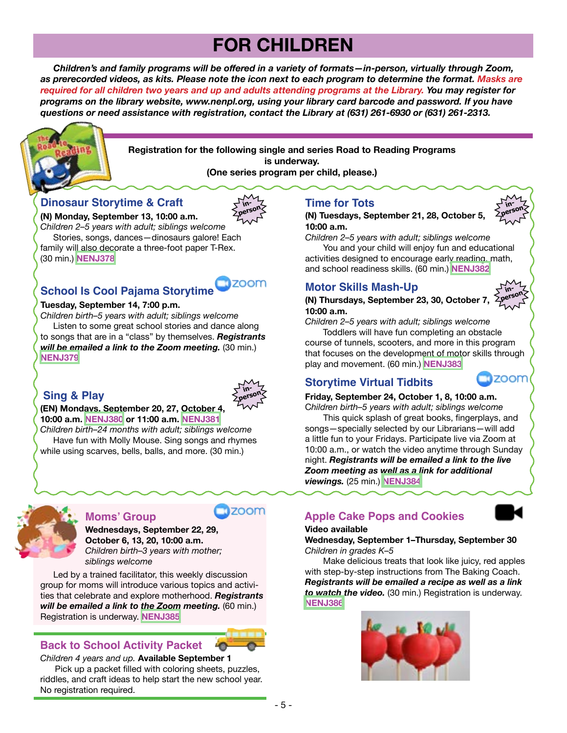# **FOR CHILDREN**

 *Children's and family programs will be offered in a variety of formats—in-person, virtually through Zoom, as prerecorded videos, as kits. Please note the icon next to each program to determine the format. Masks are required for all children two years and up and adults attending programs at the Library. You may register for programs on the library website, www.nenpl.org, using your library card barcode and password. If you have questions or need assistance with registration, contact the Library at (631) 261-6930 or (631) 261-2313.*



**Registration for the following single and series Road to Reading Programs is underway. (One series program per child, please.)**

#### **Dinosaur Storytime & Craft**

**(N) Monday, September 13, 10:00 a.m.**

*Children 2–5 years with adult; siblings welcome* Stories, songs, dances—dinosaurs galore! Each family will also decorate a three-foot paper T-Rex. (30 min.) **[NENJ378](https://search.livebrary.com/record=g1106113~S43)**

#### **School Is Cool Pajama Storytime**

#### **Tuesday, September 14, 7:00 p.m.**

*Children birth–5 years with adult; siblings welcome* Listen to some great school stories and dance along to songs that are in a "class" by themselves. *Registrants will be emailed a link to the Zoom meeting.* (30 min.) **[NENJ379](https://search.livebrary.com/record=g1106178~S43)**

#### **Sing & Play**



**inperson**

**1700m** 

#### **(EN) Mondays, September 20, 27, October 4, 10:00 a.m. [NENJ380](https://search.livebrary.com/record=g1105879~S43) or 11:00 a.m. [NENJ381](https://search.livebrary.com/record=g1105880~S43)**

*Children birth–24 months with adult; siblings welcome* Have fun with Molly Mouse. Sing songs and rhymes while using scarves, bells, balls, and more. (30 min.)



#### **Moms' Group**

#### **Wednesdays, September 22, 29, October 6, 13, 20, 10:00 a.m.** *Children birth–3 years with mother; siblings welcome*

Led by a trained facilitator, this weekly discussion group for moms will introduce various topics and activities that celebrate and explore motherhood. *Registrants will be emailed a link to the Zoom meeting.* (60 min.) Registration is underway. **[NENJ385](https://search.livebrary.com/record=g1106125~S43)**

#### **Back to School Activity Packet**

*Children 4 years and up.* **Available September 1**

 Pick up a packet filled with coloring sheets, puzzles, riddles, and craft ideas to help start the new school year. No registration required.

#### **Time for Tots**

#### **(N) Tuesdays, September 21, 28, October 5, 10:00 a.m.**



**inperson**

**zoom** 

*Children 2–5 years with adult; siblings welcome*

 You and your child will enjoy fun and educational activities designed to encourage early reading, math, and school readiness skills. (60 min.) **[NENJ382](https://search.livebrary.com/record=g1106095~S43)**

#### **Motor Skills Mash-Up**

#### **(N) Thursdays, September 23, 30, October 7, 10:00 a.m.**

*Children 2–5 years with adult; siblings welcome*

 Toddlers will have fun completing an obstacle course of tunnels, scooters, and more in this program that focuses on the development of motor skills through play and movement. (60 min.) **[NENJ383](https://search.livebrary.com/record=g1106099~S43)**

#### **Storytime Virtual Tidbits**

#### **Friday, September 24, October 1, 8, 10:00 a.m.**

C*hildren birth–5 years with adult; siblings welcome* This quick splash of great books, fingerplays, and songs—specially selected by our Librarians—will add a little fun to your Fridays. Participate live via Zoom at 10:00 a.m., or watch the video anytime through Sunday night. *Registrants will be emailed a link to the live Zoom meeting as well as a link for additional viewings.* (25 min.) **[NENJ384](https://search.livebrary.com/record=g1106126~S43)**

#### **Apple Cake Pops and Cookies**



#### **Video available**

#### **Wednesday, September 1–Thursday, September 30** *Children in grades K–5*

 Make delicious treats that look like juicy, red apples with step-by-step instructions from The Baking Coach. *Registrants will be emailed a recipe as well as a link to watch the video.* (30 min.) Registration is underway. **[NENJ386](https://search.livebrary.com/record=g1105602~S43)**

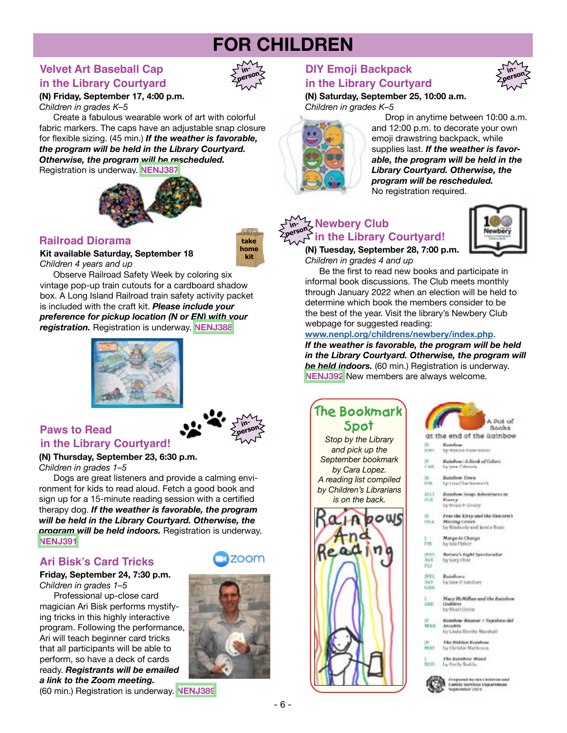# **FOR CHILDREN**

#### **Velvet Art Baseball Cap inin the Library Courtyard**



**take home kit**

**(N) Friday, September 17, 4:00 p.m.** *Children in grades K–5*

 Create a fabulous wearable work of art with colorful fabric markers. The caps have an adjustable snap closure for flexible sizing. (45 min.) *If the weather is favorable, the program will be held in the Library Courtyard. Otherwise, the program will be rescheduled.*

Registration is underway. **[NENJ387](https://search.livebrary.com/record=g1106127~S43)**



**Kit available Saturday, September 18**

*Children 4 years and up*

 Observe Railroad Safety Week by coloring six vintage pop-up train cutouts for a cardboard shadow box. A Long Island Railroad train safety activity packet is included with the craft kit. *Please include your preference for pickup location (N or EN) with your registration.* Registration is underway. **[NENJ388](https://search.livebrary.com/record=g1106247~S43)**





#### **Paws to Read in the Library Courtyard!**

#### **(N) Thursday, September 23, 6:30 p.m.**

*Children in grades 1–5*

 Dogs are great listeners and provide a calming environment for kids to read aloud. Fetch a good book and sign up for a 15-minute reading session with a certified therapy dog. *If the weather is favorable, the program will be held in the Library Courtyard. Otherwise, the program will be held indoors.* Registration is underway. **[NENJ391](https://search.livebrary.com/record=g1106119~S43)**

#### **Ari Bisk's Card Tricks**

#### **Friday, September 24, 7:30 p.m.** *Children in grades 1–5*

 Professional up-close card magician Ari Bisk performs mystifying tricks in this highly interactive program. Following the performance, Ari will teach beginner card tricks that all participants will be able to perform, so have a deck of cards ready. *Registrants will be emailed a link to the Zoom meeting.*



zoom

- 6 -

#### (60 min.) Registration is underway. **[NENJ389](https://search.livebrary.com/record=g1106117~S43)**

#### **DIY Emoji Backpack inin the Library Courtyard**

**(N) Saturday, September 25, 10:00 a.m.** *Children in grades K–5*



 Drop in anytime between 10:00 a.m. and 12:00 p.m. to decorate your own emoji drawstring backpack, while supplies last. *If the weather is favorable, the program will be held in the Library Courtyard. Otherwise, the program will be rescheduled.* No registration required.

#### **Newbery Club ideals in the Library Courtyard!** *Examplement**Like**Like Library Courtyard!* **inperson**



**person**

**(N) Tuesday, September 28, 7:00 p.m.**  *Children in grades 4 and up*

 Be the first to read new books and participate in informal book discussions. The Club meets monthly through January 2022 when an election will be held to determine which book the members consider to be the best of the year. Visit the library's Newbery Club webpage for suggested reading:

#### **[www.nenpl.org/childrens/newbery/index.php](http://www.nenpl.org/childrens/newbery/index.php)**.

*If the weather is favorable, the program will be held in the Library Courtyard. Otherwise, the program will be held indoors.* (60 min.) Registration is underway. **[NENJ392](https://search.livebrary.com/record=g1106353~S43)** New members are always welcome.

## **The Bookmark Spot**

*Stop by the Library and pick up the September bookmark by Cara Lopez. A reading list compiled by Children's Librarians is on the back.*











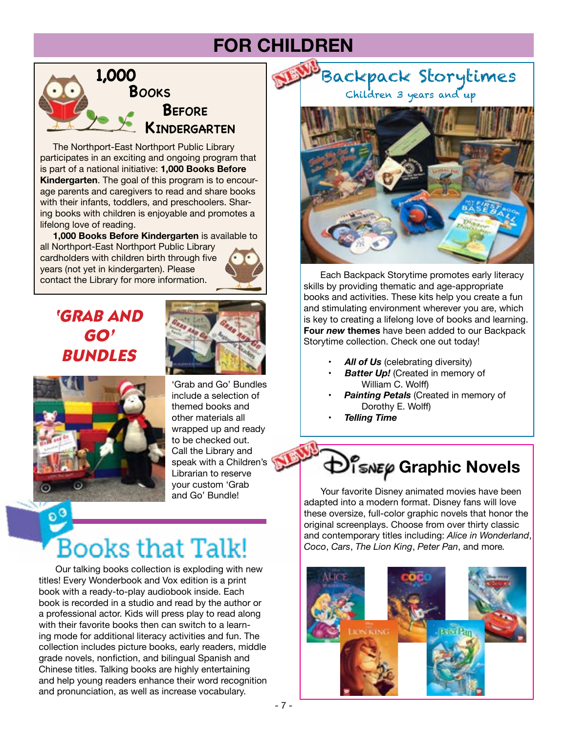## **FOR CHILDREN**



 The Northport-East Northport Public Library participates in an exciting and ongoing program that is part of a national initiative: **1,000 Books Before Kindergarten**. The goal of this program is to encourage parents and caregivers to read and share books with their infants, toddlers, and preschoolers. Sharing books with children is enjoyable and promotes a lifelong love of reading.

 **1,000 Books Before Kindergarten** is available to all Northport-East Northport Public Library cardholders with children birth through five years (not yet in kindergarten). Please contact the Library for more information.



## *'GRAB AND GO' BUNDLES*





'Grab and Go' Bundles include a selection of themed books and other materials all wrapped up and ready to be checked out. Call the Library and speak with a Children's Librarian to reserve your custom 'Grab and Go' Bundle!

# **Books that Talk!**

Our talking books collection is exploding with new titles! Every Wonderbook and Vox edition is a print book with a ready-to-play audiobook inside. Each book is recorded in a studio and read by the author or a professional actor. Kids will press play to read along with their favorite books then can switch to a learning mode for additional literacy activities and fun. The collection includes picture books, early readers, middle grade novels, nonfiction, and bilingual Spanish and Chinese titles. Talking books are highly entertaining and help young readers enhance their word recognition and pronunciation, as well as increase vocabulary.

Backpack Storytimes Children 3 years and up



Each Backpack Storytime promotes early literacy skills by providing thematic and age-appropriate books and activities. These kits help you create a fun and stimulating environment wherever you are, which is key to creating a lifelong love of books and learning. **Four** *new* **themes** have been added to our Backpack Storytime collection. Check one out today!

- **All of Us** (celebrating diversity)
- **Batter Up!** (Created in memory of William C. Wolff)
- **Painting Petals** (Created in memory of Dorothy E. Wolff)
- • *Telling Time*

# *<u>DISNEP</u>* Graphic Novels

Your favorite Disney animated movies have been adapted into a modern format. Disney fans will love these oversize, full-color graphic novels that honor the original screenplays. Choose from over thirty classic and contemporary titles including: *Alice in Wonderland*, *Coco*, *Cars*, *The Lion King*, *Peter Pan*, and more*.*